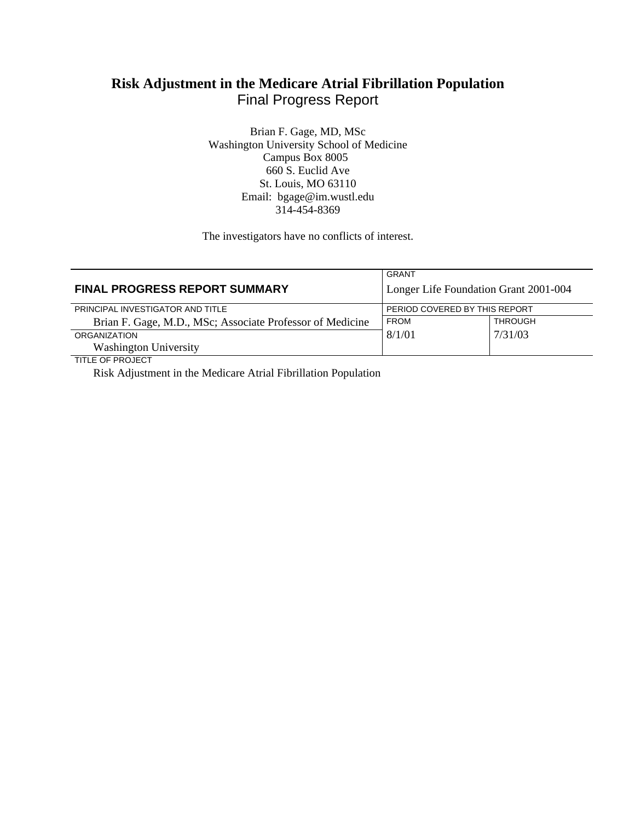# **Risk Adjustment in the Medicare Atrial Fibrillation Population** Final Progress Report

Brian F. Gage, MD, MSc Washington University School of Medicine Campus Box 8005 660 S. Euclid Ave St. Louis, MO 63110 Email: bgage@im.wustl.edu 314-454-8369

The investigators have no conflicts of interest.

|                                                           | GRANT                                 |         |
|-----------------------------------------------------------|---------------------------------------|---------|
| <b>FINAL PROGRESS REPORT SUMMARY</b>                      | Longer Life Foundation Grant 2001-004 |         |
| PRINCIPAL INVESTIGATOR AND TITLE                          | PERIOD COVERED BY THIS REPORT         |         |
| Brian F. Gage, M.D., MSc; Associate Professor of Medicine | <b>FROM</b>                           | THROUGH |
| <b>ORGANIZATION</b>                                       | 8/1/01                                | 7/31/03 |
| <b>Washington University</b>                              |                                       |         |
| TITI E OE DDO IECT                                        |                                       |         |

TITLE OF PROJECT

Risk Adjustment in the Medicare Atrial Fibrillation Population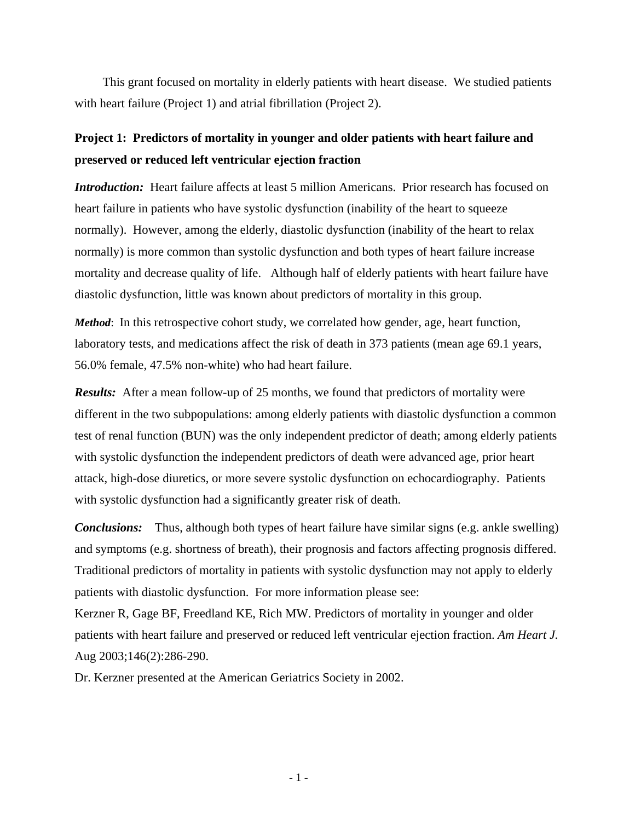This grant focused on mortality in elderly patients with heart disease. We studied patients with heart failure (Project 1) and atrial fibrillation (Project 2).

## **Project 1: Predictors of mortality in younger and older patients with heart failure and preserved or reduced left ventricular ejection fraction**

*Introduction:* Heart failure affects at least 5 million Americans. Prior research has focused on heart failure in patients who have systolic dysfunction (inability of the heart to squeeze normally). However, among the elderly, diastolic dysfunction (inability of the heart to relax normally) is more common than systolic dysfunction and both types of heart failure increase mortality and decrease quality of life. Although half of elderly patients with heart failure have diastolic dysfunction, little was known about predictors of mortality in this group.

*Method*: In this retrospective cohort study, we correlated how gender, age, heart function, laboratory tests, and medications affect the risk of death in 373 patients (mean age 69.1 years, 56.0% female, 47.5% non-white) who had heart failure.

*Results:* After a mean follow-up of 25 months, we found that predictors of mortality were different in the two subpopulations: among elderly patients with diastolic dysfunction a common test of renal function (BUN) was the only independent predictor of death; among elderly patients with systolic dysfunction the independent predictors of death were advanced age, prior heart attack, high-dose diuretics, or more severe systolic dysfunction on echocardiography. Patients with systolic dysfunction had a significantly greater risk of death.

*Conclusions:* Thus, although both types of heart failure have similar signs (e.g. ankle swelling) and symptoms (e.g. shortness of breath), their prognosis and factors affecting prognosis differed. Traditional predictors of mortality in patients with systolic dysfunction may not apply to elderly patients with diastolic dysfunction. For more information please see:

Kerzner R, Gage BF, Freedland KE, Rich MW. Predictors of mortality in younger and older patients with heart failure and preserved or reduced left ventricular ejection fraction. *Am Heart J.*  Aug 2003;146(2):286-290.

Dr. Kerzner presented at the American Geriatrics Society in 2002.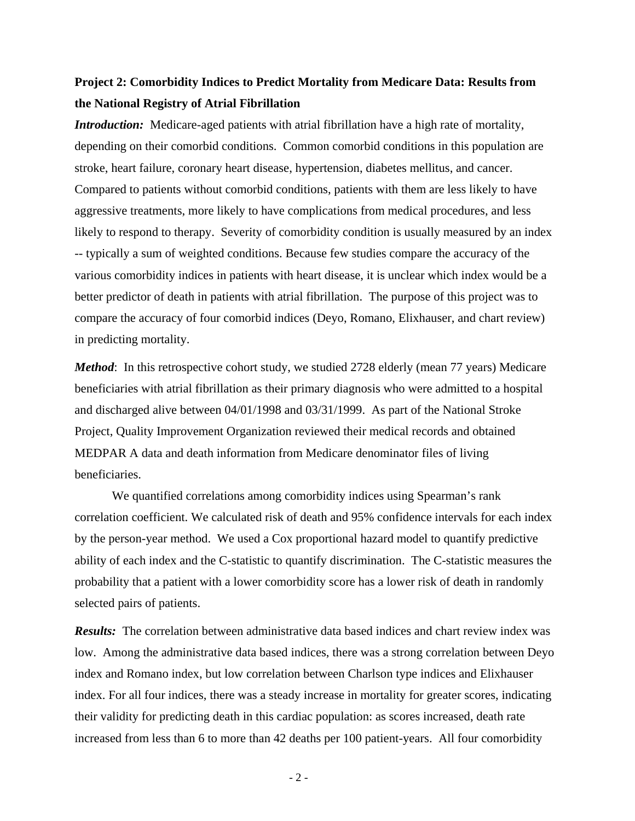## **Project 2: Comorbidity Indices to Predict Mortality from Medicare Data: Results from the National Registry of Atrial Fibrillation**

*Introduction:* Medicare-aged patients with atrial fibrillation have a high rate of mortality, depending on their comorbid conditions. Common comorbid conditions in this population are stroke, heart failure, coronary heart disease, hypertension, diabetes mellitus, and cancer. Compared to patients without comorbid conditions, patients with them are less likely to have aggressive treatments, more likely to have complications from medical procedures, and less likely to respond to therapy. Severity of comorbidity condition is usually measured by an index -- typically a sum of weighted conditions. Because few studies compare the accuracy of the various comorbidity indices in patients with heart disease, it is unclear which index would be a better predictor of death in patients with atrial fibrillation. The purpose of this project was to compare the accuracy of four comorbid indices (Deyo, Romano, Elixhauser, and chart review) in predicting mortality.

*Method*: In this retrospective cohort study, we studied 2728 elderly (mean 77 years) Medicare beneficiaries with atrial fibrillation as their primary diagnosis who were admitted to a hospital and discharged alive between 04/01/1998 and 03/31/1999. As part of the National Stroke Project, Quality Improvement Organization reviewed their medical records and obtained MEDPAR A data and death information from Medicare denominator files of living beneficiaries.

We quantified correlations among comorbidity indices using Spearman's rank correlation coefficient. We calculated risk of death and 95% confidence intervals for each index by the person-year method. We used a Cox proportional hazard model to quantify predictive ability of each index and the C-statistic to quantify discrimination. The C-statistic measures the probability that a patient with a lower comorbidity score has a lower risk of death in randomly selected pairs of patients.

*Results:* The correlation between administrative data based indices and chart review index was low. Among the administrative data based indices, there was a strong correlation between Deyo index and Romano index, but low correlation between Charlson type indices and Elixhauser index. For all four indices, there was a steady increase in mortality for greater scores, indicating their validity for predicting death in this cardiac population: as scores increased, death rate increased from less than 6 to more than 42 deaths per 100 patient-years. All four comorbidity

- 2 -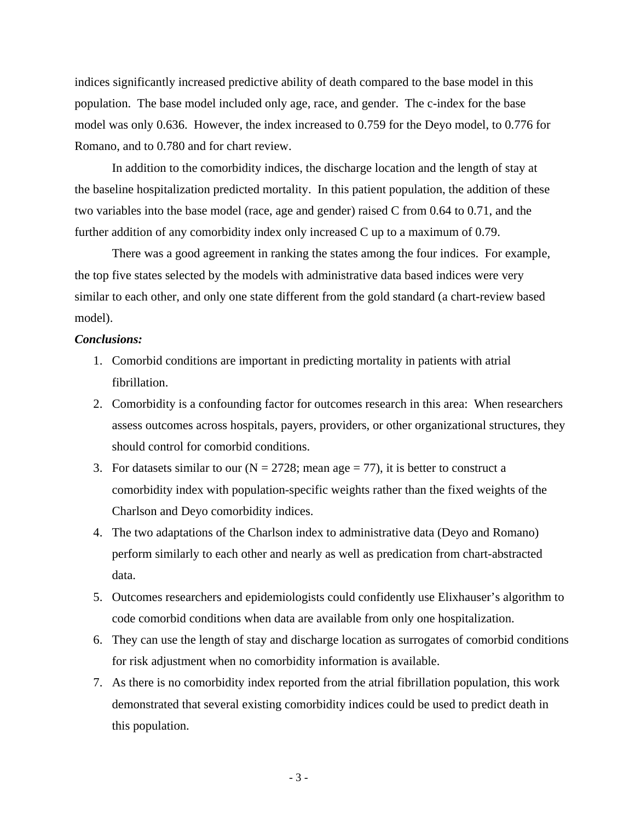indices significantly increased predictive ability of death compared to the base model in this population. The base model included only age, race, and gender. The c-index for the base model was only 0.636. However, the index increased to 0.759 for the Deyo model, to 0.776 for Romano, and to 0.780 and for chart review.

In addition to the comorbidity indices, the discharge location and the length of stay at the baseline hospitalization predicted mortality. In this patient population, the addition of these two variables into the base model (race, age and gender) raised C from 0.64 to 0.71, and the further addition of any comorbidity index only increased C up to a maximum of 0.79.

There was a good agreement in ranking the states among the four indices. For example, the top five states selected by the models with administrative data based indices were very similar to each other, and only one state different from the gold standard (a chart-review based model).

#### *Conclusions:*

- 1. Comorbid conditions are important in predicting mortality in patients with atrial fibrillation.
- 2. Comorbidity is a confounding factor for outcomes research in this area: When researchers assess outcomes across hospitals, payers, providers, or other organizational structures, they should control for comorbid conditions.
- 3. For datasets similar to our  $(N = 2728)$ ; mean age = 77), it is better to construct a comorbidity index with population-specific weights rather than the fixed weights of the Charlson and Deyo comorbidity indices.
- 4. The two adaptations of the Charlson index to administrative data (Deyo and Romano) perform similarly to each other and nearly as well as predication from chart-abstracted data.
- 5. Outcomes researchers and epidemiologists could confidently use Elixhauser's algorithm to code comorbid conditions when data are available from only one hospitalization.
- 6. They can use the length of stay and discharge location as surrogates of comorbid conditions for risk adjustment when no comorbidity information is available.
- 7. As there is no comorbidity index reported from the atrial fibrillation population, this work demonstrated that several existing comorbidity indices could be used to predict death in this population.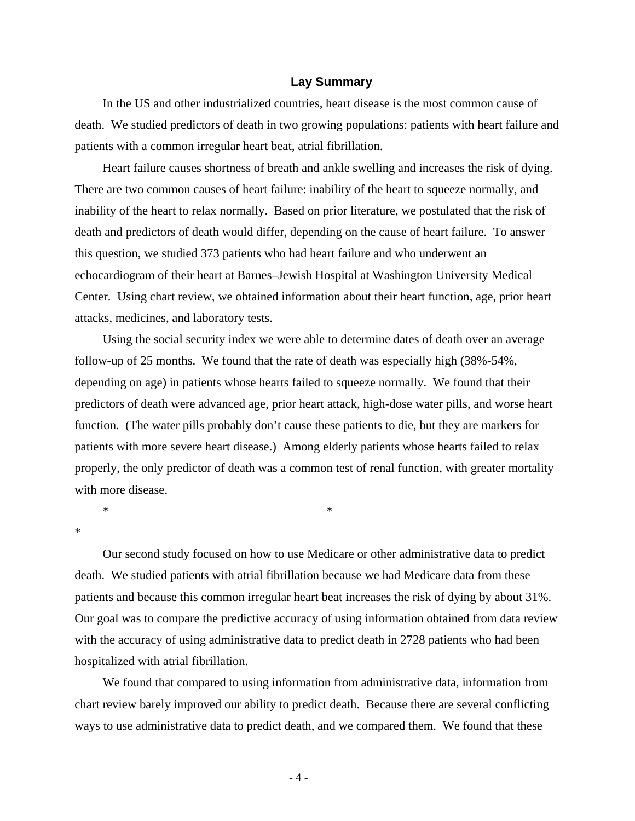#### **Lay Summary**

In the US and other industrialized countries, heart disease is the most common cause of death. We studied predictors of death in two growing populations: patients with heart failure and patients with a common irregular heart beat, atrial fibrillation.

Heart failure causes shortness of breath and ankle swelling and increases the risk of dying. There are two common causes of heart failure: inability of the heart to squeeze normally, and inability of the heart to relax normally. Based on prior literature, we postulated that the risk of death and predictors of death would differ, depending on the cause of heart failure. To answer this question, we studied 373 patients who had heart failure and who underwent an echocardiogram of their heart at Barnes–Jewish Hospital at Washington University Medical Center. Using chart review, we obtained information about their heart function, age, prior heart attacks, medicines, and laboratory tests.

Using the social security index we were able to determine dates of death over an average follow-up of 25 months. We found that the rate of death was especially high (38%-54%, depending on age) in patients whose hearts failed to squeeze normally. We found that their predictors of death were advanced age, prior heart attack, high-dose water pills, and worse heart function. (The water pills probably don't cause these patients to die, but they are markers for patients with more severe heart disease.) Among elderly patients whose hearts failed to relax properly, the only predictor of death was a common test of renal function, with greater mortality with more disease.

 $*$   $*$ 

\*

Our second study focused on how to use Medicare or other administrative data to predict death. We studied patients with atrial fibrillation because we had Medicare data from these patients and because this common irregular heart beat increases the risk of dying by about 31%. Our goal was to compare the predictive accuracy of using information obtained from data review with the accuracy of using administrative data to predict death in 2728 patients who had been hospitalized with atrial fibrillation.

We found that compared to using information from administrative data, information from chart review barely improved our ability to predict death. Because there are several conflicting ways to use administrative data to predict death, and we compared them. We found that these

- 4 -